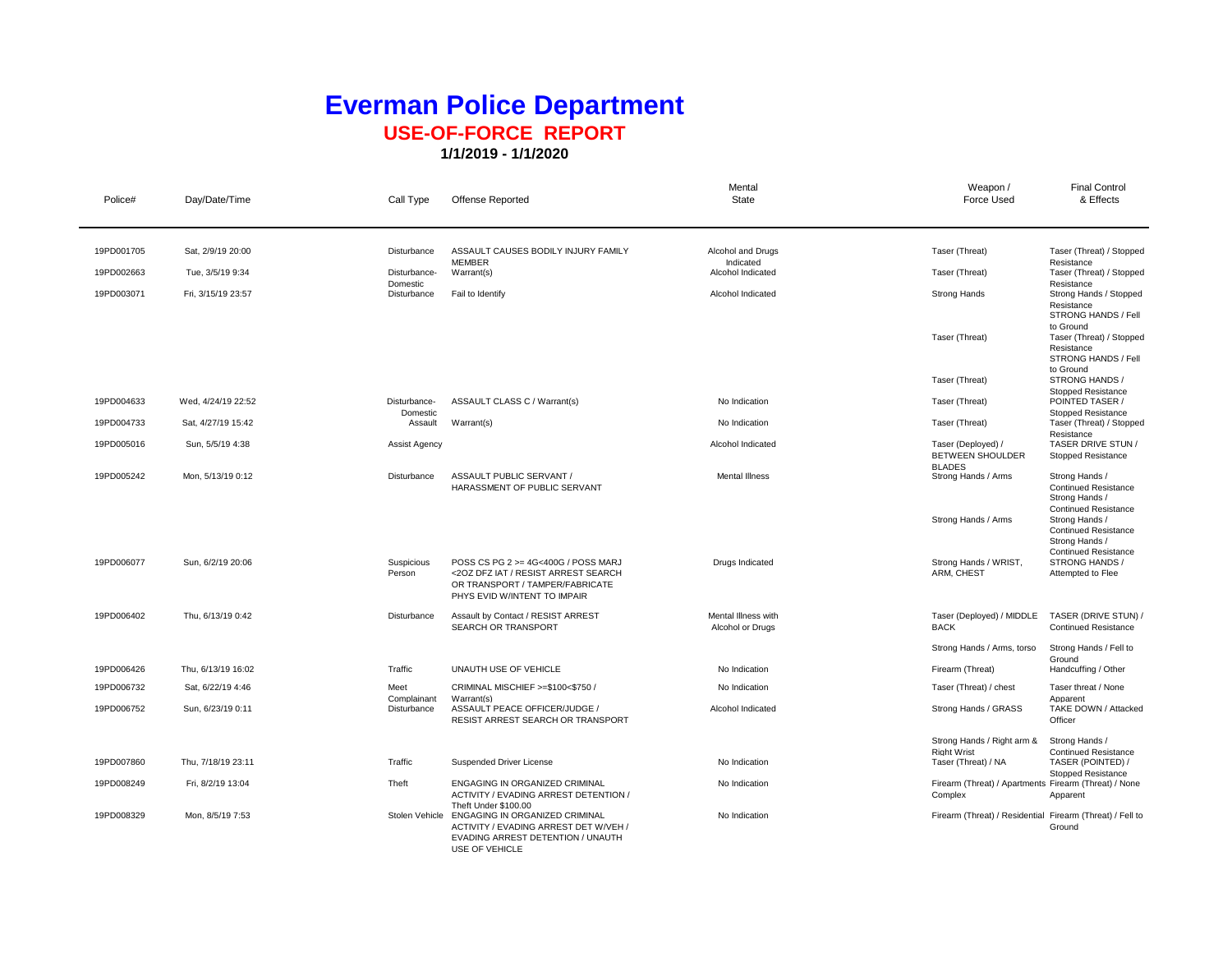## **Everman Police Department USE-OF-FORCE REPORT**

**1/1/2019 - 1/1/2020**

| Police#    | Day/Date/Time      | Call Type                  | <b>Offense Reported</b>                                                                                                                                | Mental<br>State                         | Weapon /<br><b>Force Used</b>                                    | <b>Final Control</b><br>& Effects                                                              |
|------------|--------------------|----------------------------|--------------------------------------------------------------------------------------------------------------------------------------------------------|-----------------------------------------|------------------------------------------------------------------|------------------------------------------------------------------------------------------------|
|            |                    |                            |                                                                                                                                                        |                                         |                                                                  |                                                                                                |
| 19PD001705 | Sat. 2/9/19 20:00  | Disturbance                | ASSAULT CAUSES BODILY INJURY FAMILY<br><b>MEMBER</b>                                                                                                   | Alcohol and Drugs<br>Indicated          | Taser (Threat)                                                   | Taser (Threat) / Stopped<br>Resistance                                                         |
| 19PD002663 | Tue, 3/5/19 9:34   | Disturbance-<br>Domestic   | Warrant(s)                                                                                                                                             | Alcohol Indicated                       | Taser (Threat)                                                   | Taser (Threat) / Stopped<br>Resistance                                                         |
| 19PD003071 | Fri, 3/15/19 23:57 | Disturbance                | Fail to Identify                                                                                                                                       | Alcohol Indicated                       | Strong Hands                                                     | Strong Hands / Stopped<br>Resistance<br>STRONG HANDS / Fell                                    |
|            |                    |                            |                                                                                                                                                        |                                         | Taser (Threat)                                                   | to Ground<br>Taser (Threat) / Stopped<br>Resistance<br>STRONG HANDS / Fell                     |
|            |                    |                            |                                                                                                                                                        |                                         | Taser (Threat)                                                   | to Ground<br>STRONG HANDS /<br>Stopped Resistance                                              |
| 19PD004633 | Wed, 4/24/19 22:52 | Disturbance-<br>Domestic   | ASSAULT CLASS C / Warrant(s)                                                                                                                           | No Indication                           | Taser (Threat)                                                   | POINTED TASER /<br>Stopped Resistance                                                          |
| 19PD004733 | Sat, 4/27/19 15:42 | Assault                    | Warrant(s)                                                                                                                                             | No Indication                           | Taser (Threat)                                                   | Taser (Threat) / Stopped                                                                       |
| 19PD005016 | Sun, 5/5/19 4:38   | <b>Assist Agency</b>       |                                                                                                                                                        | Alcohol Indicated                       | Taser (Deployed) /<br><b>BETWEEN SHOULDER</b><br><b>BLADES</b>   | Resistance<br>TASER DRIVE STUN /<br>Stopped Resistance                                         |
| 19PD005242 | Mon, 5/13/19 0:12  | Disturbance                | ASSAULT PUBLIC SERVANT /<br>HARASSMENT OF PUBLIC SERVANT                                                                                               | <b>Mental Illness</b>                   | Strong Hands / Arms                                              | Strong Hands /<br><b>Continued Resistance</b><br>Strong Hands /<br><b>Continued Resistance</b> |
|            |                    |                            |                                                                                                                                                        |                                         | Strong Hands / Arms                                              | Strong Hands /<br><b>Continued Resistance</b><br>Strong Hands /<br><b>Continued Resistance</b> |
| 19PD006077 | Sun, 6/2/19 20:06  | Suspicious<br>Person       | POSS CS PG 2 >= 4G<400G / POSS MARJ<br><20Z DFZ IAT / RESIST ARREST SEARCH<br>OR TRANSPORT / TAMPER/FABRICATE<br>PHYS EVID W/INTENT TO IMPAIR          | Drugs Indicated                         | Strong Hands / WRIST,<br>ARM, CHEST                              | STRONG HANDS /<br>Attempted to Flee                                                            |
| 19PD006402 | Thu, 6/13/19 0:42  | Disturbance                | Assault by Contact / RESIST ARREST<br>SEARCH OR TRANSPORT                                                                                              | Mental Illness with<br>Alcohol or Drugs | Taser (Deployed) / MIDDLE<br><b>BACK</b>                         | TASER (DRIVE STUN) /<br><b>Continued Resistance</b>                                            |
|            |                    |                            |                                                                                                                                                        |                                         | Strong Hands / Arms, torso                                       | Strong Hands / Fell to                                                                         |
| 19PD006426 | Thu, 6/13/19 16:02 | Traffic                    | UNAUTH USE OF VEHICLE                                                                                                                                  | No Indication                           | Firearm (Threat)                                                 | Ground<br>Handcuffing / Other                                                                  |
| 19PD006732 | Sat, 6/22/19 4:46  | Meet                       | CRIMINAL MISCHIEF >=\$100<\$750 /                                                                                                                      | No Indication                           | Taser (Threat) / chest                                           | Taser threat / None                                                                            |
| 19PD006752 | Sun, 6/23/19 0:11  | Complainant<br>Disturbance | Warrant(s)<br>ASSAULT PEACE OFFICER/JUDGE /<br><b>RESIST ARREST SEARCH OR TRANSPORT</b>                                                                | Alcohol Indicated                       | Strong Hands / GRASS                                             | Apparent<br>TAKE DOWN / Attacked<br>Officer                                                    |
|            |                    |                            |                                                                                                                                                        |                                         | Strong Hands / Right arm &                                       | Strong Hands /                                                                                 |
| 19PD007860 | Thu, 7/18/19 23:11 | Traffic                    | Suspended Driver License                                                                                                                               | No Indication                           | <b>Right Wrist</b><br>Taser (Threat) / NA                        | <b>Continued Resistance</b><br>TASER (POINTED) /<br>Stopped Resistance                         |
| 19PD008249 | Fri, 8/2/19 13:04  | Theft                      | ENGAGING IN ORGANIZED CRIMINAL<br>ACTIVITY / EVADING ARREST DETENTION /                                                                                | No Indication                           | Firearm (Threat) / Apartments Firearm (Threat) / None<br>Complex | Apparent                                                                                       |
| 19PD008329 | Mon, 8/5/19 7:53   | Stolen Vehicle             | Theft Under \$100.00<br>ENGAGING IN ORGANIZED CRIMINAL<br>ACTIVITY / EVADING ARREST DET W/VEH /<br>EVADING ARREST DETENTION / UNAUTH<br>USE OF VEHICLE | No Indication                           | Firearm (Threat) / Residential Firearm (Threat) / Fell to        | Ground                                                                                         |